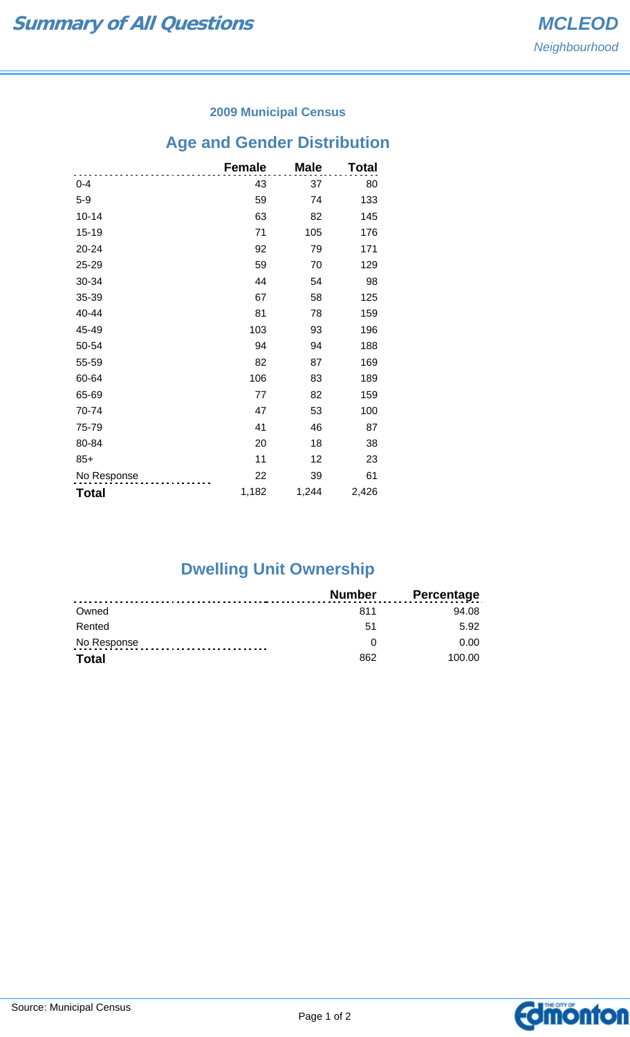#### **2009 Municipal Census**

## **Age and Gender Distribution**

|              | <b>Female</b> | <b>Male</b> | <b>Total</b> |
|--------------|---------------|-------------|--------------|
| $0 - 4$      | 43            | 37          | 80           |
| $5-9$        | 59            | 74          | 133          |
| $10 - 14$    | 63            | 82          | 145          |
| $15 - 19$    | 71            | 105         | 176          |
| 20-24        | 92            | 79          | 171          |
| 25-29        | 59            | 70          | 129          |
| 30-34        | 44            | 54          | 98           |
| 35-39        | 67            | 58          | 125          |
| 40-44        | 81            | 78          | 159          |
| 45-49        | 103           | 93          | 196          |
| 50-54        | 94            | 94          | 188          |
| 55-59        | 82            | 87          | 169          |
| 60-64        | 106           | 83          | 189          |
| 65-69        | 77            | 82          | 159          |
| 70-74        | 47            | 53          | 100          |
| 75-79        | 41            | 46          | 87           |
| 80-84        | 20            | 18          | 38           |
| $85+$        | 11            | 12          | 23           |
| No Response  | 22            | 39          | 61           |
| <b>Total</b> | 1,182         | 1,244       | 2,426        |

# **Dwelling Unit Ownership**

|              | <b>Number</b> | <b>Percentage</b> |
|--------------|---------------|-------------------|
| Owned        | 811           | 94.08             |
| Rented       | 51            | 5.92              |
| No Response  |               | 0.00              |
| <b>Total</b> | 862           | 100.00            |